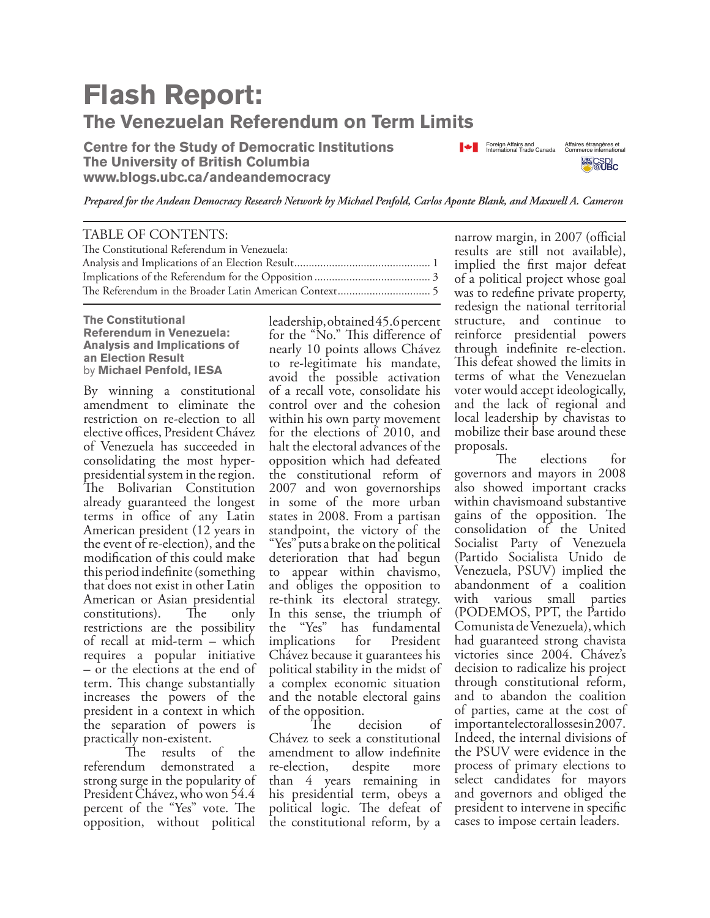## **Flash Report: The Venezuelan Referendum on Term Limits**

**Centre for the Study of Democratic Institutions The University of British Columbia www.blogs.ubc.ca/andeandemocracy**



*Prepared for the Andean Democracy Research Network by Michael Penfold, Carlos Aponte Blank, and Maxwell A. Cameron*

| TABLE OF CONTENTS:                          |  |
|---------------------------------------------|--|
| The Constitutional Referendum in Venezuela: |  |
|                                             |  |
|                                             |  |
|                                             |  |
|                                             |  |

**The Constitutional Referendum in Venezuela: Analysis and Implications of an Election Result** by **Michael Penfold, IESA**

By winning a constitutional amendment to eliminate the restriction on re-election to all elective offices, President Chávez of Venezuela has succeeded in consolidating the most hyperpresidential system in the region. The Bolivarian Constitution already guaranteed the longest terms in office of any Latin American president (12 years in the event of re-election), and the modification of this could make this period indefinite (something that does not exist in other Latin American or Asian presidential constitutions). The only restrictions are the possibility of recall at mid-term – which requires a popular initiative – or the elections at the end of term. This change substantially increases the powers of the president in a context in which the separation of powers is

practically non-existent.<br>The results results of the referendum demonstrated a strong surge in the popularity of President Chávez, who won 54.4 percent of the "Yes" vote. The opposition, without political

leadership, obtained 45.6 percent for the "No." This difference of nearly 10 points allows Chávez to re-legitimate his mandate, avoid the possible activation of a recall vote, consolidate his control over and the cohesion within his own party movement for the elections of 2010, and halt the electoral advances of the opposition which had defeated the constitutional reform of 2007 and won governorships in some of the more urban states in 2008. From a partisan standpoint, the victory of the "Yes" puts a brake on the political deterioration that had begun to appear within chavismo, and obliges the opposition to re-think its electoral strategy. In this sense, the triumph of the "Yes" has fundamental implications for President Chávez because it guarantees his political stability in the midst of a complex economic situation and the notable electoral gains of the opposition.

decision of Chávez to seek a constitutional amendment to allow indefinite re-election, despite more than 4 years remaining in his presidential term, obeys a political logic. The defeat of the constitutional reform, by a

narrow margin, in 2007 (official results are still not available), implied the first major defeat of a political project whose goal was to redefine private property, redesign the national territorial structure, and continue to reinforce presidential powers through indefinite re-election. This defeat showed the limits in terms of what the Venezuelan voter would accept ideologically, and the lack of regional and local leadership by chavistas to mobilize their base around these proposals.

 The elections for governors and mayors in 2008 also showed important cracks within chavismoand substantive gains of the opposition. The consolidation of the United Socialist Party of Venezuela (Partido Socialista Unido de Venezuela, PSUV) implied the abandonment of a coalition with various small parties (PODEMOS, PPT, the Partido Comunista de Venezuela), which had guaranteed strong chavista victories since 2004. Chávez's decision to radicalize his project through constitutional reform, and to abandon the coalition of parties, came at the cost of important electoral losses in 2007. Indeed, the internal divisions of the PSUV were evidence in the process of primary elections to select candidates for mayors and governors and obliged the president to intervene in specific cases to impose certain leaders.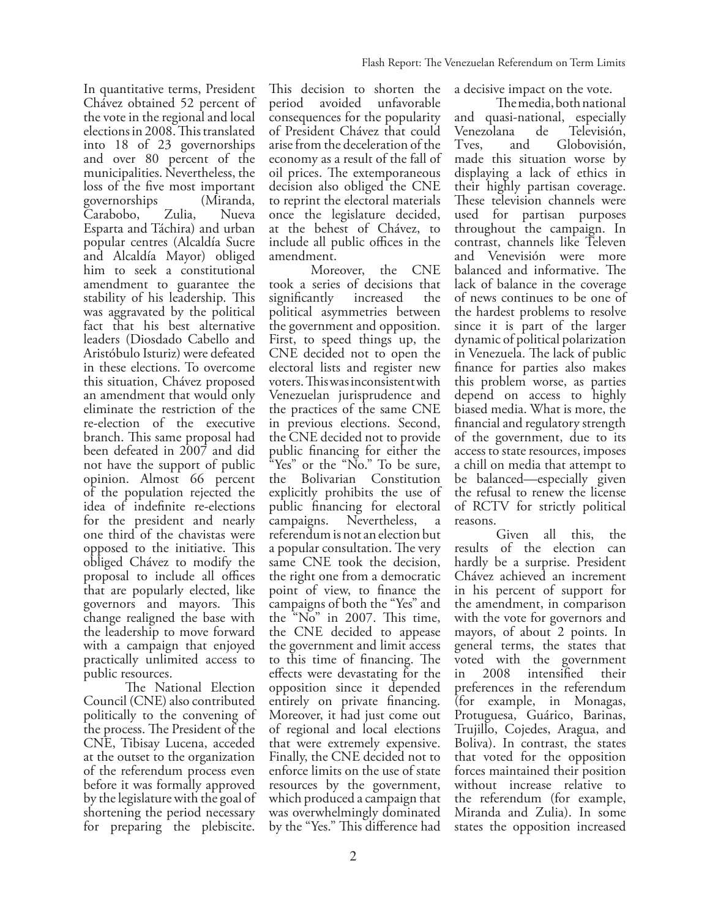In quantitative terms, President Chávez obtained 52 percent of the vote in the regional and local elections in 2008. This translated into 18 of 23 governorships and over 80 percent of the municipalities. Nevertheless, the loss of the five most important governorships (Miranda, Carabobo, Zulia, Esparta and Táchira) and urban popular centres (Alcaldía Sucre and Alcaldía Mayor) obliged him to seek a constitutional amendment to guarantee the stability of his leadership. This was aggravated by the political fact that his best alternative leaders (Diosdado Cabello and Aristóbulo Isturiz) were defeated in these elections. To overcome this situation, Chávez proposed an amendment that would only eliminate the restriction of the re-election of the executive branch. This same proposal had been defeated in 2007 and did not have the support of public opinion. Almost 66 percent of the population rejected the idea of indefinite re-elections for the president and nearly one third of the chavistas were opposed to the initiative. This obliged Chávez to modify the proposal to include all offices that are popularly elected, like governors and mayors. This change realigned the base with the leadership to move forward with a campaign that enjoyed practically unlimited access to public resources.

 The National Election Council (CNE) also contributed politically to the convening of the process. The President of the CNE, Tibisay Lucena, acceded at the outset to the organization of the referendum process even before it was formally approved by the legislature with the goal of shortening the period necessary for preparing the plebiscite.

This decision to shorten the period avoided unfavorable consequences for the popularity of President Chávez that could arise from the deceleration of the economy as a result of the fall of oil prices. The extemporaneous decision also obliged the CNE to reprint the electoral materials once the legislature decided, at the behest of Chávez, to include all public offices in the amendment.

 Moreover, the CNE took a series of decisions that significantly increased the political asymmetries between the government and opposition. First, to speed things up, the CNE decided not to open the electoral lists and register new voters. This was inconsistent with Venezuelan jurisprudence and the practices of the same CNE in previous elections. Second, the CNE decided not to provide public financing for either the "Yes" or the "No." To be sure, the Bolivarian Constitution explicitly prohibits the use of public financing for electoral campaigns. Nevertheless, a referendum is not an election but a popular consultation. The very same CNE took the decision, the right one from a democratic point of view, to finance the campaigns of both the "Yes" and the "No" in 2007. This time, the CNE decided to appease the government and limit access to this time of financing. The effects were devastating for the opposition since it depended entirely on private financing. Moreover, it had just come out of regional and local elections that were extremely expensive. Finally, the CNE decided not to enforce limits on the use of state resources by the government, which produced a campaign that was overwhelmingly dominated by the "Yes." This difference had

a decisive impact on the vote.

 The media, both national and quasi-national, especially Venezolana de Televisión,<br>Tves, and Globovisión, Tves, and Globovisión, made this situation worse by displaying a lack of ethics in their highly partisan coverage. These television channels were used for partisan purposes throughout the campaign. In contrast, channels like Televen and Venevisión were more balanced and informative. The lack of balance in the coverage of news continues to be one of the hardest problems to resolve since it is part of the larger dynamic of political polarization in Venezuela. The lack of public finance for parties also makes this problem worse, as parties depend on access to highly biased media. What is more, the financial and regulatory strength of the government, due to its access to state resources, imposes a chill on media that attempt to be balanced—especially given the refusal to renew the license of RCTV for strictly political reasons.

 Given all this, the results of the election can hardly be a surprise. President Chávez achieved an increment in his percent of support for the amendment, in comparison with the vote for governors and mayors, of about 2 points. In general terms, the states that voted with the government<br>in 2008 intensified their 2008 intensified their preferences in the referendum (for example, in Monagas, Protuguesa, Guárico, Barinas, Trujillo, Cojedes, Aragua, and Boliva). In contrast, the states that voted for the opposition forces maintained their position without increase relative to the referendum (for example, Miranda and Zulia). In some states the opposition increased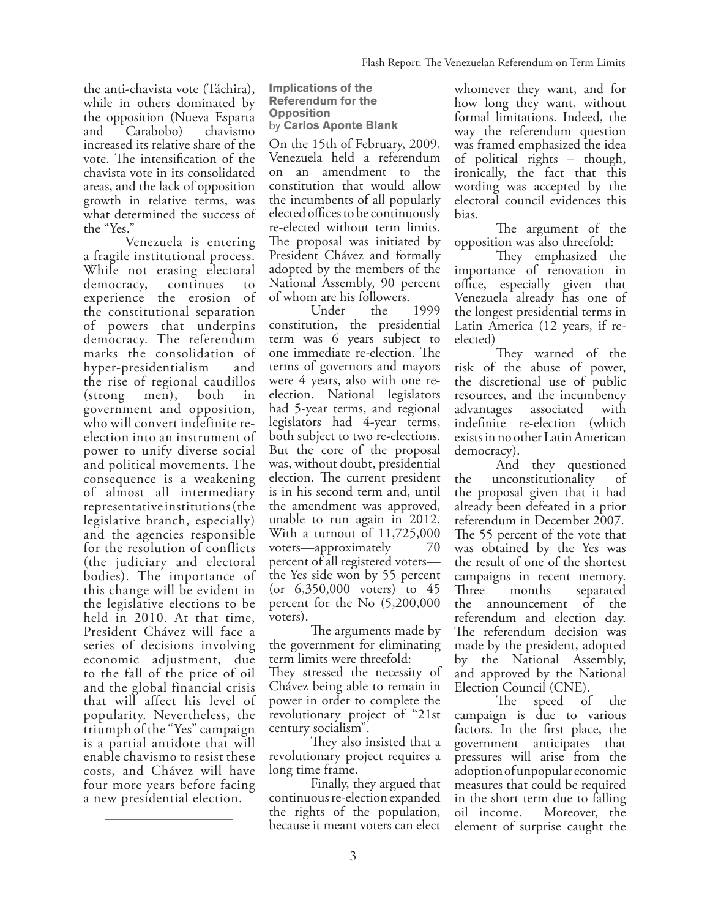the anti-chavista vote (Táchira), while in others dominated by the opposition (Nueva Esparta and Carabobo) chavismo increased its relative share of the vote. The intensification of the chavista vote in its consolidated areas, and the lack of opposition growth in relative terms, was what determined the success of the "Yes."

Venezuela is entering a fragile institutional process. While not erasing electoral democracy, continues to experience the erosion of the constitutional separation of powers that underpins democracy. The referendum marks the consolidation of hyper-presidentialism and the rise of regional caudillos (strong men), both in government and opposition, who will convert indefinite reelection into an instrument of power to unify diverse social and political movements. The consequence is a weakening of almost all intermediary representative institutions (the legislative branch, especially) and the agencies responsible for the resolution of conflicts (the judiciary and electoral bodies). The importance of this change will be evident in the legislative elections to be held in 2010. At that time, President Chávez will face a series of decisions involving economic adjustment, due to the fall of the price of oil and the global financial crisis that will affect his level of popularity. Nevertheless, the triumph of the "Yes" campaign is a partial antidote that will enable chavismo to resist these costs, and Chávez will have four more years before facing a new presidential election.

**Implications of the Referendum for the Opposition** by **Carlos Aponte Blank** 

On the 15th of February, 2009, Venezuela held a referendum on an amendment to the constitution that would allow the incumbents of all popularly elected offices to be continuously re-elected without term limits. The proposal was initiated by President Chávez and formally adopted by the members of the National Assembly, 90 percent of whom are his followers.

 Under the 1999 constitution, the presidential term was 6 years subject to one immediate re-election. The terms of governors and mayors were 4 years, also with one reelection. National legislators had 5-year terms, and regional legislators had 4-year terms, both subject to two re-elections. But the core of the proposal was, without doubt, presidential election. The current president is in his second term and, until the amendment was approved, unable to run again in 2012. With a turnout of 11,725,000 voters—approximately 70 percent of all registered voters the Yes side won by 55 percent (or 6,350,000 voters) to 45 percent for the No (5,200,000 voters).

 The arguments made by the government for eliminating term limits were threefold: They stressed the necessity of Chávez being able to remain in power in order to complete the revolutionary project of "21st century socialism".

 They also insisted that a revolutionary project requires a long time frame.

 Finally, they argued that continuous re-election expanded the rights of the population, because it meant voters can elect

whomever they want, and for how long they want, without formal limitations. Indeed, the way the referendum question was framed emphasized the idea of political rights – though, ironically, the fact that this wording was accepted by the electoral council evidences this bias.

 The argument of the opposition was also threefold:

 They emphasized the importance of renovation in office, especially given that Venezuela already has one of the longest presidential terms in Latin America (12 years, if reelected)

 They warned of the risk of the abuse of power, the discretional use of public resources, and the incumbency advantages associated with indefinite re-election (which exists in no other Latin American democracy).

 And they questioned the unconstitutionality of the proposal given that it had already been defeated in a prior referendum in December 2007. The 55 percent of the vote that was obtained by the Yes was the result of one of the shortest campaigns in recent memory. Three months separated the announcement of the referendum and election day. The referendum decision was made by the president, adopted by the National Assembly, and approved by the National Election Council (CNE).

 The speed of the campaign is due to various factors. In the first place, the government anticipates that pressures will arise from the adoption of unpopular economic measures that could be required in the short term due to falling oil income. Moreover, the element of surprise caught the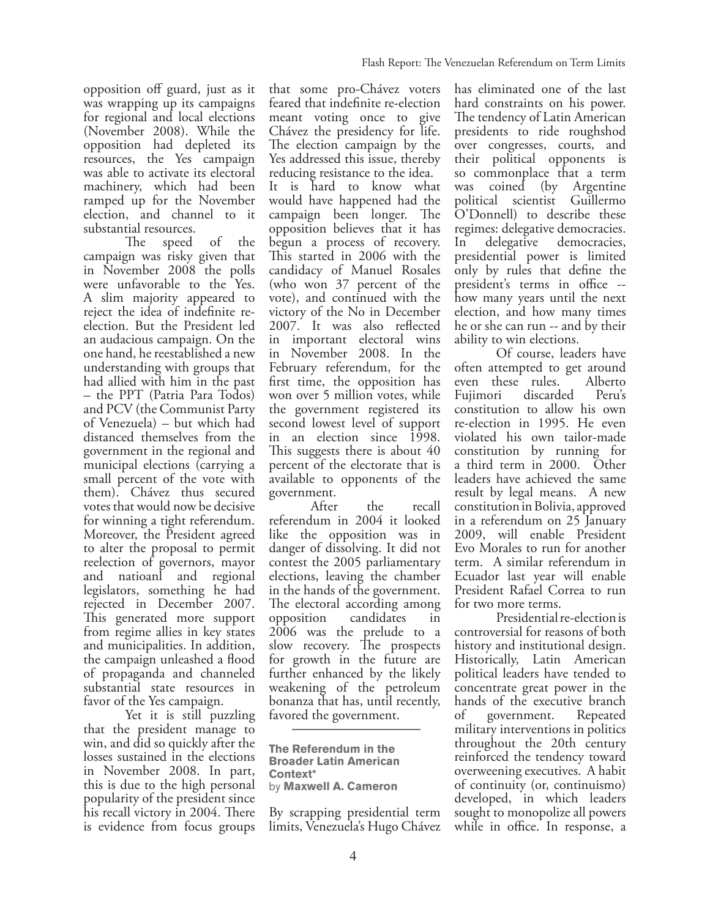opposition off guard, just as it was wrapping up its campaigns for regional and local elections (November 2008). While the opposition had depleted its resources, the Yes campaign was able to activate its electoral machinery, which had been ramped up for the November election, and channel to it

substantial resources.<br>The speed The speed of the campaign was risky given that in November 2008 the polls were unfavorable to the Yes. A slim majority appeared to reject the idea of indefinite reelection. But the President led an audacious campaign. On the one hand, he reestablished a new understanding with groups that had allied with him in the past – the PPT (Patria Para Todos) and PCV (the Communist Party of Venezuela) – but which had distanced themselves from the government in the regional and municipal elections (carrying a small percent of the vote with them). Chávez thus secured votes that would now be decisive for winning a tight referendum. Moreover, the President agreed to alter the proposal to permit reelection of governors, mayor and natioanl and regional legislators, something he had rejected in December 2007. This generated more support from regime allies in key states and municipalities. In addition, the campaign unleashed a flood of propaganda and channeled substantial state resources in favor of the Yes campaign.

 Yet it is still puzzling that the president manage to win, and did so quickly after the losses sustained in the elections in November 2008. In part, this is due to the high personal popularity of the president since his recall victory in 2004. There is evidence from focus groups that some pro-Chávez voters feared that indefinite re-election meant voting once to give Chávez the presidency for life. The election campaign by the Yes addressed this issue, thereby reducing resistance to the idea.

It is hard to know what would have happened had the campaign been longer. The opposition believes that it has begun a process of recovery. This started in 2006 with the candidacy of Manuel Rosales (who won 37 percent of the vote), and continued with the victory of the No in December 2007. It was also reflected in important electoral wins in November 2008. In the February referendum, for the first time, the opposition has won over 5 million votes, while the government registered its second lowest level of support in an election since 1998. This suggests there is about 40 percent of the electorate that is available to opponents of the government.

 After the recall referendum in 2004 it looked like the opposition was in danger of dissolving. It did not contest the 2005 parliamentary elections, leaving the chamber in the hands of the government. The electoral according among<br>opposition candidates in opposition candidates in 2006 was the prelude to a slow recovery. The prospects for growth in the future are further enhanced by the likely weakening of the petroleum bonanza that has, until recently, favored the government.

**The Referendum in the Broader Latin American Context\*** by **Maxwell A. Cameron**

By scrapping presidential term limits, Venezuela's Hugo Chávez has eliminated one of the last hard constraints on his power. The tendency of Latin American presidents to ride roughshod over congresses, courts, and their political opponents is so commonplace that a term was coined (by Argentine political scientist Guillermo O'Donnell) to describe these regimes: delegative democracies. In delegative democracies, presidential power is limited only by rules that define the president's terms in office - how many years until the next election, and how many times he or she can run -- and by their ability to win elections.

 Of course, leaders have often attempted to get around even these rules. Alberto Fujimori discarded Peru's constitution to allow his own re-election in 1995. He even violated his own tailor-made constitution by running for a third term in 2000. Other leaders have achieved the same result by legal means. A new constitution in Bolivia, approved in a referendum on 25 January 2009, will enable President Evo Morales to run for another term. A similar referendum in Ecuador last year will enable President Rafael Correa to run for two more terms.

 Presidential re-election is controversial for reasons of both history and institutional design. Historically, Latin American political leaders have tended to concentrate great power in the hands of the executive branch of government. Repeated military interventions in politics throughout the 20th century reinforced the tendency toward overweening executives. A habit of continuity (or, continuismo) developed, in which leaders sought to monopolize all powers while in office. In response, a